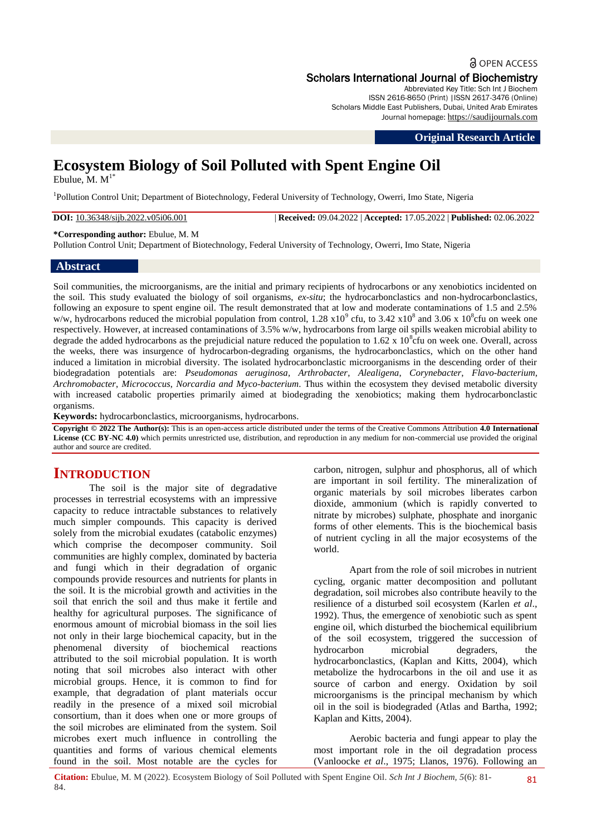# **a** OPEN ACCESS Scholars International Journal of Biochemistry

Abbreviated Key Title: Sch Int J Biochem ISSN 2616-8650 (Print) |ISSN 2617-3476 (Online) Scholars Middle East Publishers, Dubai, United Arab Emirates Journal homepage: [https://saudijournals.com](https://saudijournals.com/sijb)

**Original Research Article**

# **Ecosystem Biology of Soil Polluted with Spent Engine Oil**

Ebulue,  $M$ .  $M<sup>1*</sup>$ 

<sup>1</sup>Pollution Control Unit; Department of Biotechnology, Federal University of Technology, Owerri, Imo State, Nigeria

**DOI:** 10.36348/sijb.2022.v05i06.001 | **Received:** 09.04.2022 | **Accepted:** 17.05.2022 | **Published:** 02.06.2022

**\*Corresponding author:** Ebulue, M. M

Pollution Control Unit; Department of Biotechnology, Federal University of Technology, Owerri, Imo State, Nigeria

#### **Abstract**

Soil communities, the microorganisms, are the initial and primary recipients of hydrocarbons or any xenobiotics incidented on the soil. This study evaluated the biology of soil organisms, *ex-situ*; the hydrocarbonclastics and non-hydrocarbonclastics, following an exposure to spent engine oil. The result demonstrated that at low and moderate contaminations of 1.5 and 2.5% w/w, hydrocarbons reduced the microbial population from control,  $1.28 \times 10^9$  cfu, to  $3.42 \times 10^8$  and  $3.06 \times 10^8$ cfu on week one respectively. However, at increased contaminations of 3.5% w/w, hydrocarbons from large oil spills weaken microbial ability to degrade the added hydrocarbons as the prejudicial nature reduced the population to  $1.62 \times 10^8$  cfu on week one. Overall, across the weeks, there was insurgence of hydrocarbon-degrading organisms, the hydrocarbonclastics, which on the other hand induced a limitation in microbial diversity. The isolated hydrocarbonclastic microorganisms in the descending order of their biodegradation potentials are: *Pseudomonas aeruginosa, Arthrobacter*, *Alealigena*, *Corynebacter*, *Flavo-bacterium*, *Archromobacter*, *Micrococcus*, *Norcardia and Myco-bacterium*. Thus within the ecosystem they devised metabolic diversity with increased catabolic properties primarily aimed at biodegrading the xenobiotics; making them hydrocarbonclastic organisms.

**Keywords:** hydrocarbonclastics, microorganisms, hydrocarbons.

**Copyright © 2022 The Author(s):** This is an open-access article distributed under the terms of the Creative Commons Attribution **4.0 International License (CC BY-NC 4.0)** which permits unrestricted use, distribution, and reproduction in any medium for non-commercial use provided the original author and source are credited.

# **INTRODUCTION**

The soil is the major site of degradative processes in terrestrial ecosystems with an impressive capacity to reduce intractable substances to relatively much simpler compounds. This capacity is derived solely from the microbial exudates (catabolic enzymes) which comprise the decomposer community. Soil communities are highly complex, dominated by bacteria and fungi which in their degradation of organic compounds provide resources and nutrients for plants in the soil. It is the microbial growth and activities in the soil that enrich the soil and thus make it fertile and healthy for agricultural purposes. The significance of enormous amount of microbial biomass in the soil lies not only in their large biochemical capacity, but in the phenomenal diversity of biochemical reactions attributed to the soil microbial population. It is worth noting that soil microbes also interact with other microbial groups. Hence, it is common to find for example, that degradation of plant materials occur readily in the presence of a mixed soil microbial consortium, than it does when one or more groups of the soil microbes are eliminated from the system. Soil microbes exert much influence in controlling the quantities and forms of various chemical elements found in the soil. Most notable are the cycles for carbon, nitrogen, sulphur and phosphorus, all of which are important in soil fertility. The mineralization of organic materials by soil microbes liberates carbon dioxide, ammonium (which is rapidly converted to nitrate by microbes) sulphate, phosphate and inorganic forms of other elements. This is the biochemical basis of nutrient cycling in all the major ecosystems of the world.

Apart from the role of soil microbes in nutrient cycling, organic matter decomposition and pollutant degradation, soil microbes also contribute heavily to the resilience of a disturbed soil ecosystem (Karlen *et al*., 1992). Thus, the emergence of xenobiotic such as spent engine oil, which disturbed the biochemical equilibrium of the soil ecosystem, triggered the succession of hydrocarbon microbial degraders, the hydrocarbonclastics, (Kaplan and Kitts, 2004), which metabolize the hydrocarbons in the oil and use it as source of carbon and energy. Oxidation by soil microorganisms is the principal mechanism by which oil in the soil is biodegraded (Atlas and Bartha, 1992; Kaplan and Kitts, 2004).

Aerobic bacteria and fungi appear to play the most important role in the oil degradation process (Vanloocke *et al*., 1975; Llanos, 1976). Following an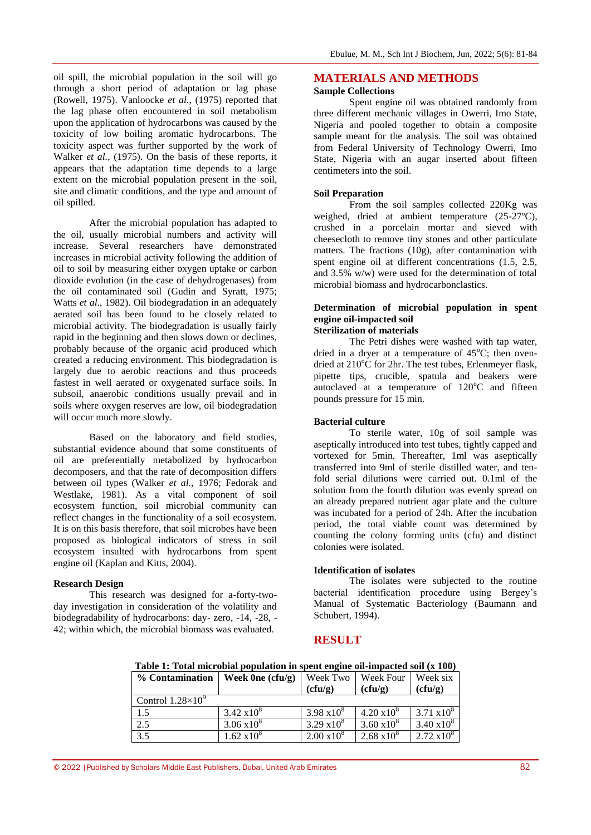oil spill, the microbial population in the soil will go through a short period of adaptation or lag phase (Rowell, 1975). Vanloocke *et al.*, (1975) reported that the lag phase often encountered in soil metabolism upon the application of hydrocarbons was caused by the toxicity of low boiling aromatic hydrocarbons. The toxicity aspect was further supported by the work of Walker *et al.*, (1975). On the basis of these reports, it appears that the adaptation time depends to a large extent on the microbial population present in the soil, site and climatic conditions, and the type and amount of oil spilled.

After the microbial population has adapted to the oil, usually microbial numbers and activity will increase. Several researchers have demonstrated increases in microbial activity following the addition of oil to soil by measuring either oxygen uptake or carbon dioxide evolution (in the case of dehydrogenases) from the oil contaminated soil (Gudin and Syratt, 1975; Watts *et al*., 1982). Oil biodegradation in an adequately aerated soil has been found to be closely related to microbial activity. The biodegradation is usually fairly rapid in the beginning and then slows down or declines, probably because of the organic acid produced which created a reducing environment. This biodegradation is largely due to aerobic reactions and thus proceeds fastest in well aerated or oxygenated surface soils. In subsoil, anaerobic conditions usually prevail and in soils where oxygen reserves are low, oil biodegradation will occur much more slowly.

Based on the laboratory and field studies, substantial evidence abound that some constituents of oil are preferentially metabolized by hydrocarbon decomposers, and that the rate of decomposition differs between oil types (Walker *et al.*, 1976; Fedorak and Westlake, 1981). As a vital component of soil ecosystem function, soil microbial community can reflect changes in the functionality of a soil ecosystem. It is on this basis therefore, that soil microbes have been proposed as biological indicators of stress in soil ecosystem insulted with hydrocarbons from spent engine oil (Kaplan and Kitts, 2004).

#### **Research Design**

This research was designed for a-forty-twoday investigation in consideration of the volatility and biodegradability of hydrocarbons: day- zero, -14, -28, - 42; within which, the microbial biomass was evaluated.

# **MATERIALS AND METHODS**

#### **Sample Collections**

Spent engine oil was obtained randomly from three different mechanic villages in Owerri, Imo State, Nigeria and pooled together to obtain a composite sample meant for the analysis. The soil was obtained from Federal University of Technology Owerri, Imo State, Nigeria with an augar inserted about fifteen centimeters into the soil.

#### **Soil Preparation**

From the soil samples collected 220Kg was weighed, dried at ambient temperature (25-27ºC), crushed in a porcelain mortar and sieved with cheesecloth to remove tiny stones and other particulate matters. The fractions (10g), after contamination with spent engine oil at different concentrations  $(1.5, 2.5, ...)$ and 3.5% w/w) were used for the determination of total microbial biomass and hydrocarbonclastics.

#### **Determination of microbial population in spent engine oil-impacted soil Sterilization of materials**

The Petri dishes were washed with tap water, dried in a dryer at a temperature of  $45^{\circ}$ C; then ovendried at  $210^{\circ}$ C for 2hr. The test tubes, Erlenmeyer flask, pipette tips, crucible, spatula and beakers were autoclaved at a temperature of  $120^{\circ}$ C and fifteen pounds pressure for 15 min.

#### **Bacterial culture**

To sterile water, 10g of soil sample was aseptically introduced into test tubes, tightly capped and vortexed for 5min. Thereafter, 1ml was aseptically transferred into 9ml of sterile distilled water, and tenfold serial dilutions were carried out. 0.1ml of the solution from the fourth dilution was evenly spread on an already prepared nutrient agar plate and the culture was incubated for a period of 24h. After the incubation period, the total viable count was determined by counting the colony forming units (cfu) and distinct colonies were isolated.

#### **Identification of isolates**

The isolates were subjected to the routine bacterial identification procedure using Bergey's Manual of Systematic Bacteriology (Baumann and Schubert, 1994).

# **RESULT**

| % Contamination          | Week $0ne$ (cfu/g) | Week Two<br>(cfu/g) | Week Four<br>(cfu/g) | Week six<br>(cfu/g) |
|--------------------------|--------------------|---------------------|----------------------|---------------------|
| Control $1.28\times10^9$ |                    |                     |                      |                     |
| 1.5                      | $3.42 \times 10^8$ | $3.98 \times 10^8$  | $4.20 \times 10^8$   | $3.71 \times 10^8$  |
| 2.5                      | $3.06 \times 10^8$ | $3.29 \times 10^8$  | $3.60 \times 10^8$   | $3.40 \times 10^8$  |
| 3.5                      | $1.62 \times 10^8$ | $2.00 \times 10^8$  | $2.68 \times 10^8$   | $2.72 \times 10^8$  |

**Table 1: Total microbial population in spent engine oil-impacted soil (x 100)**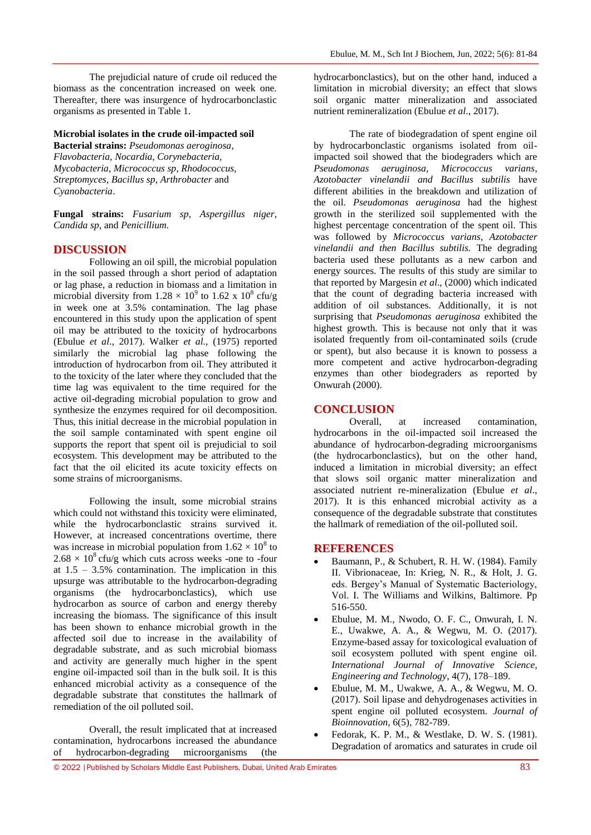The prejudicial nature of crude oil reduced the biomass as the concentration increased on week one. Thereafter, there was insurgence of hydrocarbonclastic organisms as presented in Table 1.

#### **Microbial isolates in the crude oil**-**impacted soil**

**Bacterial strains:** *Pseudomonas aeroginosa*, *Flavobacteria*, *Nocardia*, *Corynebacteria, Mycobacteria*, *Micrococcus sp*, *Rhodococcus*, *Streptomyces*, *Bacillus sp*, *Arthrobacter* and *Cyanobacteria*.

**Fungal strains:** *Fusarium sp*, *Aspergillus niger*, *Candida sp*, and *Penicillium.*

#### **DISCUSSION**

Following an oil spill, the microbial population in the soil passed through a short period of adaptation or lag phase, a reduction in biomass and a limitation in microbial diversity from  $1.28 \times 10^9$  to  $1.62 \times 10^8$  cfu/g in week one at 3.5% contamination. The lag phase encountered in this study upon the application of spent oil may be attributed to the toxicity of hydrocarbons (Ebulue *et al*., 2017). Walker *et al.,* (1975) reported similarly the microbial lag phase following the introduction of hydrocarbon from oil. They attributed it to the toxicity of the later where they concluded that the time lag was equivalent to the time required for the active oil-degrading microbial population to grow and synthesize the enzymes required for oil decomposition. Thus, this initial decrease in the microbial population in the soil sample contaminated with spent engine oil supports the report that spent oil is prejudicial to soil ecosystem. This development may be attributed to the fact that the oil elicited its acute toxicity effects on some strains of microorganisms.

Following the insult, some microbial strains which could not withstand this toxicity were eliminated, while the hydrocarbonclastic strains survived it. However, at increased concentrations overtime, there was increase in microbial population from  $1.62 \times 10^8$  to  $2.68 \times 10^8$  cfu/g which cuts across weeks -one to -four at  $1.5 - 3.5\%$  contamination. The implication in this upsurge was attributable to the hydrocarbon-degrading organisms (the hydrocarbonclastics), which use hydrocarbon as source of carbon and energy thereby increasing the biomass. The significance of this insult has been shown to enhance microbial growth in the affected soil due to increase in the availability of degradable substrate, and as such microbial biomass and activity are generally much higher in the spent engine oil-impacted soil than in the bulk soil. It is this enhanced microbial activity as a consequence of the degradable substrate that constitutes the hallmark of remediation of the oil polluted soil.

Overall, the result implicated that at increased contamination, hydrocarbons increased the abundance of hydrocarbon-degrading microorganisms (the

hydrocarbonclastics), but on the other hand, induced a limitation in microbial diversity; an effect that slows soil organic matter mineralization and associated nutrient remineralization (Ebulue *et al*., 2017).

The rate of biodegradation of spent engine oil by hydrocarbonclastic organisms isolated from oilimpacted soil showed that the biodegraders which are *Pseudomonas aeruginosa, Micrococcus varians*, *Azotobacter vinelandii and Bacillus subtilis* have different abilities in the breakdown and utilization of the oil. *Pseudomonas aeruginosa* had the highest growth in the sterilized soil supplemented with the highest percentage concentration of the spent oil. This was followed by *Micrococcus varians*, *Azotobacter vinelandii and then Bacillus subtilis.* The degrading bacteria used these pollutants as a new carbon and energy sources. The results of this study are similar to that reported by Margesin *et al*., (2000) which indicated that the count of degrading bacteria increased with addition of oil substances. Additionally, it is not surprising that *Pseudomonas aeruginosa* exhibited the highest growth. This is because not only that it was isolated frequently from oil-contaminated soils (crude or spent), but also because it is known to possess a more competent and active hydrocarbon-degrading enzymes than other biodegraders as reported by Onwurah (2000).

### **CONCLUSION**

Overall, at increased contamination, hydrocarbons in the oil-impacted soil increased the abundance of hydrocarbon-degrading microorganisms (the hydrocarbonclastics), but on the other hand, induced a limitation in microbial diversity; an effect that slows soil organic matter mineralization and associated nutrient re-mineralization (Ebulue *et al*., 2017). It is this enhanced microbial activity as a consequence of the degradable substrate that constitutes the hallmark of remediation of the oil-polluted soil.

# **REFERENCES**

- Baumann, P., & Schubert, R. H. W. (1984). Family II. Vibrionaceae, In: Krieg, N. R., & Holt, J. G. eds. Bergey's Manual of Systematic Bacteriology, Vol. I. The Williams and Wilkins, Baltimore. Pp 516-550.
- Ebulue, M. M., Nwodo, O. F. C., Onwurah, I. N. E., Uwakwe, A. A., & Wegwu, M. O. (2017). Enzyme-based assay for toxicological evaluation of soil ecosystem polluted with spent engine oil. *International Journal of Innovative Science, Engineering and Technology*, 4(7), 178–189.
- Ebulue, M. M., Uwakwe, A. A., & Wegwu, M. O. (2017). Soil lipase and dehydrogenases activities in spent engine oil polluted ecosystem. *Journal of Bioinnovation,* 6(5), 782-789.
- Fedorak, K. P. M., & Westlake, D. W. S. (1981). Degradation of aromatics and saturates in crude oil